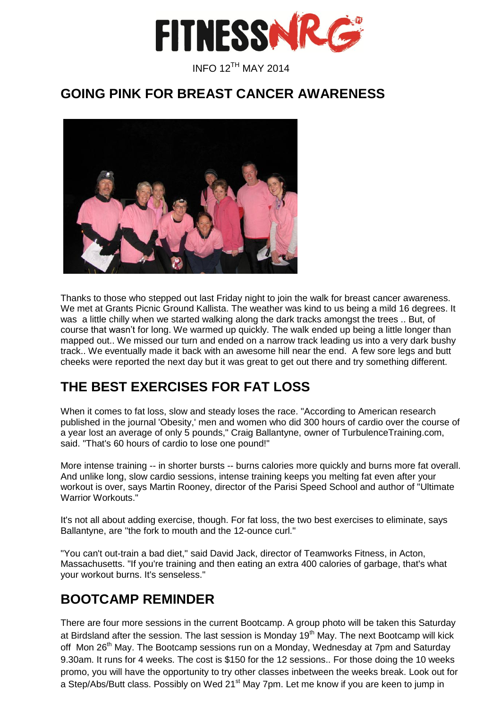

### **GOING PINK FOR BREAST CANCER AWARENESS**



Thanks to those who stepped out last Friday night to join the walk for breast cancer awareness. We met at Grants Picnic Ground Kallista. The weather was kind to us being a mild 16 degrees. It was a little chilly when we started walking along the dark tracks amongst the trees .. But, of course that wasn't for long. We warmed up quickly. The walk ended up being a little longer than mapped out.. We missed our turn and ended on a narrow track leading us into a very dark bushy track.. We eventually made it back with an awesome hill near the end. A few sore legs and butt cheeks were reported the next day but it was great to get out there and try something different.

# **THE BEST EXERCISES FOR FAT LOSS**

When it comes to fat loss, slow and steady loses the race. "According to American research published in the journal 'Obesity,' men and women who did 300 hours of cardio over the course of a year lost an average of only 5 pounds," Craig Ballantyne, owner of TurbulenceTraining.com, said. "That's 60 hours of cardio to lose one pound!"

More intense training -- in shorter bursts -- burns calories more quickly and burns more fat overall. And unlike long, slow cardio sessions, intense training keeps you melting fat even after your workout is over, says Martin Rooney, director of the Parisi Speed School and author of "Ultimate Warrior Workouts."

It's not all about adding exercise, though. For fat loss, the two best exercises to eliminate, says Ballantyne, are "the fork to mouth and the 12-ounce curl."

"You can't out-train a bad diet," said David Jack, director of Teamworks Fitness, in Acton, Massachusetts. "If you're training and then eating an extra 400 calories of garbage, that's what your workout burns. It's senseless."

## **BOOTCAMP REMINDER**

There are four more sessions in the current Bootcamp. A group photo will be taken this Saturday at Birdsland after the session. The last session is Monday 19<sup>th</sup> May. The next Bootcamp will kick off Mon 26<sup>th</sup> May. The Bootcamp sessions run on a Monday, Wednesday at 7pm and Saturday 9.30am. It runs for 4 weeks. The cost is \$150 for the 12 sessions.. For those doing the 10 weeks promo, you will have the opportunity to try other classes inbetween the weeks break. Look out for a Step/Abs/Butt class. Possibly on Wed 21<sup>st</sup> May 7pm. Let me know if you are keen to jump in